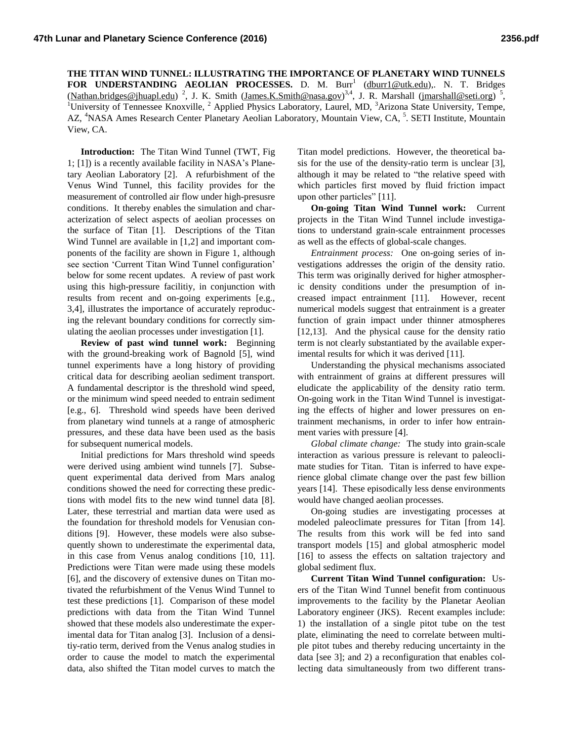**THE TITAN WIND TUNNEL: ILLUSTRATING THE IMPORTANCE OF PLANETARY WIND TUNNELS** FOR UNDERSTANDING AEOLIAN PROCESSES. D. M. Burr<sup>1</sup> (<u>dburr1@utk.edu</u>),. N. T. Bridges [\(Nathan.bridges@jhuapl.edu\)](mailto:Nathan.bridges@jhuapl.edu)<sup>2</sup>, J. K. Smith [\(James.K.Smith@nasa.gov\)](mailto:James.K.Smith@nasa.gov)<sup>3,4</sup>, J. R. Marshall [\(jmarshall@seti.org\)](mailto:jmarshall@seti.org)<sup>5</sup>, <sup>1</sup>University of Tennessee Knoxville, <sup>2</sup> Applied Physics Laboratory, Laurel, MD, <sup>3</sup>Arizona State University, Tempe, AZ, <sup>4</sup>NASA Ames Research Center Planetary Aeolian Laboratory, Mountain View, CA, <sup>5</sup>. SETI Institute, Mountain View, CA.

**Introduction:** The Titan Wind Tunnel (TWT, Fig 1; [1]) is a recently available facility in NASA's Planetary Aeolian Laboratory [2]. A refurbishment of the Venus Wind Tunnel, this facility provides for the measurement of controlled air flow under high-presusre conditions. It thereby enables the simulation and characterization of select aspects of aeolian processes on the surface of Titan [1]. Descriptions of the Titan Wind Tunnel are available in [1,2] and important components of the facility are shown in Figure 1, although see section 'Current Titan Wind Tunnel configuration' below for some recent updates. A review of past work using this high-pressure facilitiy, in conjunction with results from recent and on-going experiments [e.g., 3,4], illustrates the importance of accurately reproducing the relevant boundary conditions for correctly simulating the aeolian processes under investigation [1].

**Review of past wind tunnel work:** Beginning with the ground-breaking work of Bagnold [5], wind tunnel experiments have a long history of providing critical data for describing aeolian sediment transport. A fundamental descriptor is the threshold wind speed, or the minimum wind speed needed to entrain sediment [e.g., 6]. Threshold wind speeds have been derived from planetary wind tunnels at a range of atmospheric pressures, and these data have been used as the basis for subsequent numerical models.

Initial predictions for Mars threshold wind speeds were derived using ambient wind tunnels [7]. Subsequent experimental data derived from Mars analog conditions showed the need for correcting these predictions with model fits to the new wind tunnel data [8]. Later, these terrestrial and martian data were used as the foundation for threshold models for Venusian conditions [9]. However, these models were also subsequently shown to underestimate the experimental data, in this case from Venus analog conditions [10, 11]. Predictions were Titan were made using these models [6], and the discovery of extensive dunes on Titan motivated the refurbishment of the Venus Wind Tunnel to test these predictions [1]. Comparison of these model predictions with data from the Titan Wind Tunnel showed that these models also underestimate the experimental data for Titan analog [3]. Inclusion of a densitiy-ratio term, derived from the Venus analog studies in order to cause the model to match the experimental data, also shifted the Titan model curves to match the

Titan model predictions. However, the theoretical basis for the use of the density-ratio term is unclear [3], although it may be related to "the relative speed with which particles first moved by fluid friction impact upon other particles" [11].

**On-going Titan Wind Tunnel work:** Current projects in the Titan Wind Tunnel include investigations to understand grain-scale entrainment processes as well as the effects of global-scale changes.

*Entrainment process:* One on-going series of investigations addresses the origin of the density ratio. This term was originally derived for higher atmospheric density conditions under the presumption of increased impact entrainment [11]. However, recent numerical models suggest that entrainment is a greater function of grain impact under thinner atmospheres [12,13]. And the physical cause for the density ratio term is not clearly substantiated by the available experimental results for which it was derived [11].

Understanding the physical mechanisms associated with entrainment of grains at different pressures will eludicate the applicability of the density ratio term. On-going work in the Titan Wind Tunnel is investigating the effects of higher and lower pressures on entrainment mechanisms, in order to infer how entrainment varies with pressure [4].

*Global climate change:* The study into grain-scale interaction as various pressure is relevant to paleoclimate studies for Titan. Titan is inferred to have experience global climate change over the past few billion years [14]. These episodically less dense environments would have changed aeolian processes.

On-going studies are investigating processes at modeled paleoclimate pressures for Titan [from 14]. The results from this work will be fed into sand transport models [15] and global atmospheric model [16] to assess the effects on saltation trajectory and global sediment flux.

**Current Titan Wind Tunnel configuration:** Users of the Titan Wind Tunnel benefit from continuous improvements to the facility by the Planetar Aeolian Laboratory engineer (JKS). Recent examples include: 1) the installation of a single pitot tube on the test plate, eliminating the need to correlate between multiple pitot tubes and thereby reducing uncertainty in the data [see 3]; and 2) a reconfiguration that enables collecting data simultaneously from two different trans